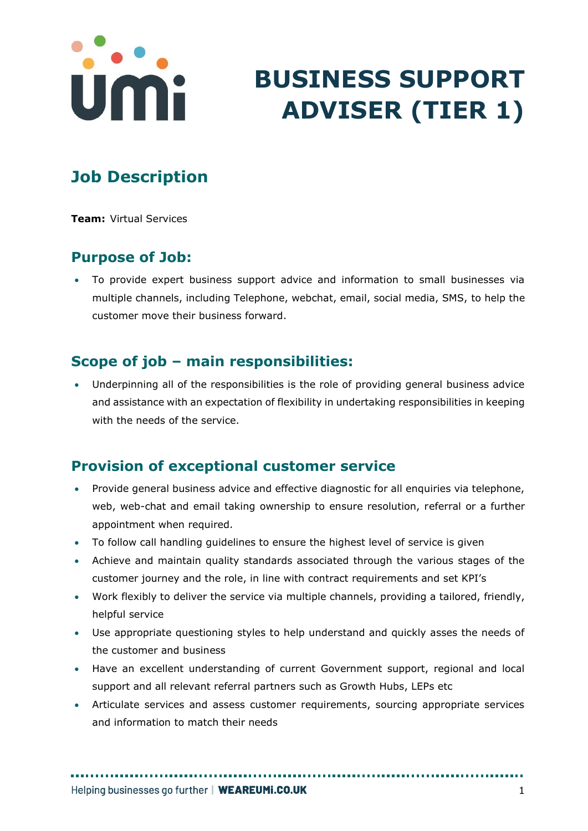

# **BUSINESS SUPPORT ADVISER (TIER 1)**

# **Job Description**

**Team:** Virtual Services

#### **Purpose of Job:**

• To provide expert business support advice and information to small businesses via multiple channels, including Telephone, webchat, email, social media, SMS, to help the customer move their business forward.

### **Scope of job – main responsibilities:**

• Underpinning all of the responsibilities is the role of providing general business advice and assistance with an expectation of flexibility in undertaking responsibilities in keeping with the needs of the service.

### **Provision of exceptional customer service**

- Provide general business advice and effective diagnostic for all enquiries via telephone, web, web-chat and email taking ownership to ensure resolution, referral or a further appointment when required.
- To follow call handling guidelines to ensure the highest level of service is given
- Achieve and maintain quality standards associated through the various stages of the customer journey and the role, in line with contract requirements and set KPI's
- Work flexibly to deliver the service via multiple channels, providing a tailored, friendly, helpful service
- Use appropriate questioning styles to help understand and quickly asses the needs of the customer and business
- Have an excellent understanding of current Government support, regional and local support and all relevant referral partners such as Growth Hubs, LEPs etc
- Articulate services and assess customer requirements, sourcing appropriate services and information to match their needs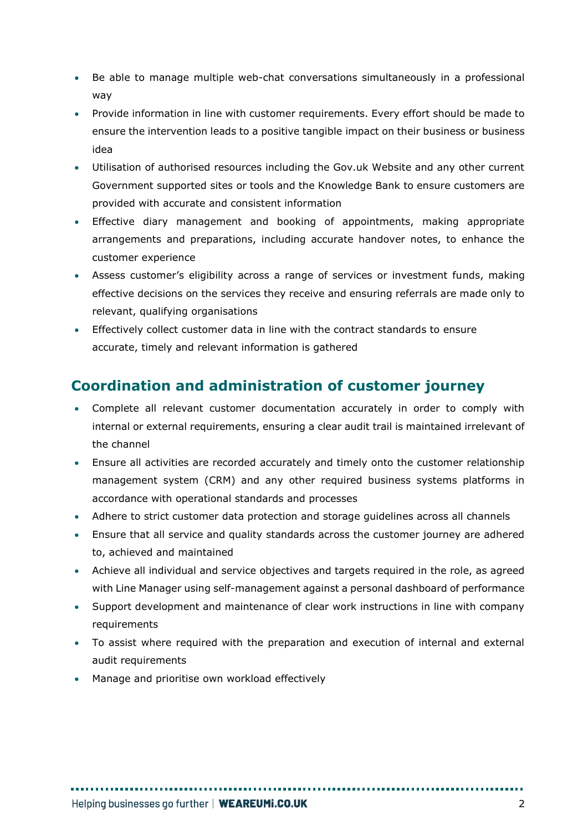- Be able to manage multiple web-chat conversations simultaneously in a professional way
- Provide information in line with customer requirements. Every effort should be made to ensure the intervention leads to a positive tangible impact on their business or business idea
- Utilisation of authorised resources including the Gov.uk Website and any other current Government supported sites or tools and the Knowledge Bank to ensure customers are provided with accurate and consistent information
- Effective diary management and booking of appointments, making appropriate arrangements and preparations, including accurate handover notes, to enhance the customer experience
- Assess customer's eligibility across a range of services or investment funds, making effective decisions on the services they receive and ensuring referrals are made only to relevant, qualifying organisations
- Effectively collect customer data in line with the contract standards to ensure accurate, timely and relevant information is gathered

# **Coordination and administration of customer journey**

- Complete all relevant customer documentation accurately in order to comply with internal or external requirements, ensuring a clear audit trail is maintained irrelevant of the channel
- Ensure all activities are recorded accurately and timely onto the customer relationship management system (CRM) and any other required business systems platforms in accordance with operational standards and processes
- Adhere to strict customer data protection and storage guidelines across all channels
- Ensure that all service and quality standards across the customer journey are adhered to, achieved and maintained
- Achieve all individual and service objectives and targets required in the role, as agreed with Line Manager using self-management against a personal dashboard of performance
- Support development and maintenance of clear work instructions in line with company requirements
- To assist where required with the preparation and execution of internal and external audit requirements
- Manage and prioritise own workload effectively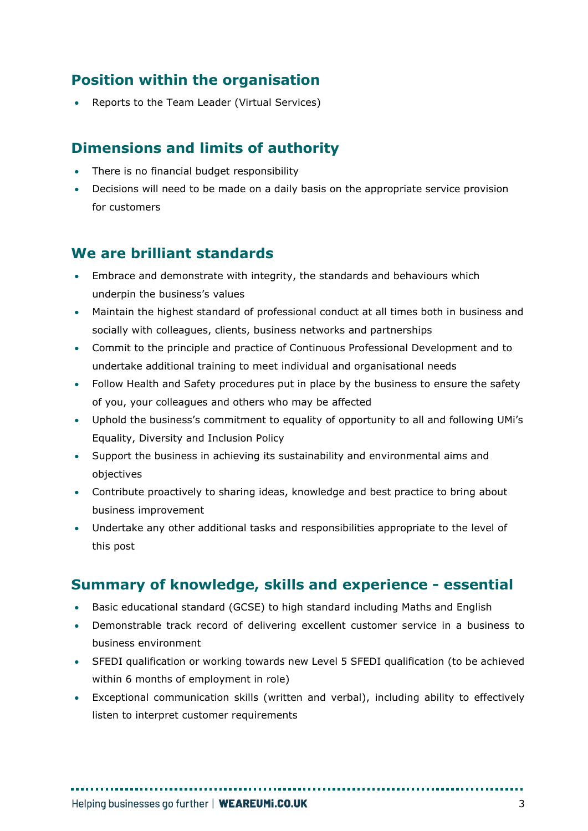# **Position within the organisation**

• Reports to the Team Leader (Virtual Services)

### **Dimensions and limits of authority**

- There is no financial budget responsibility
- Decisions will need to be made on a daily basis on the appropriate service provision for customers

#### **We are brilliant standards**

- Embrace and demonstrate with integrity, the standards and behaviours which underpin the business's values
- Maintain the highest standard of professional conduct at all times both in business and socially with colleagues, clients, business networks and partnerships
- Commit to the principle and practice of Continuous Professional Development and to undertake additional training to meet individual and organisational needs
- Follow Health and Safety procedures put in place by the business to ensure the safety of you, your colleagues and others who may be affected
- Uphold the business's commitment to equality of opportunity to all and following UMi's Equality, Diversity and Inclusion Policy
- Support the business in achieving its sustainability and environmental aims and objectives
- Contribute proactively to sharing ideas, knowledge and best practice to bring about business improvement
- Undertake any other additional tasks and responsibilities appropriate to the level of this post

### **Summary of knowledge, skills and experience - essential**

- Basic educational standard (GCSE) to high standard including Maths and English
- Demonstrable track record of delivering excellent customer service in a business to business environment
- SFEDI qualification or working towards new Level 5 SFEDI qualification (to be achieved within 6 months of employment in role)
- Exceptional communication skills (written and verbal), including ability to effectively listen to interpret customer requirements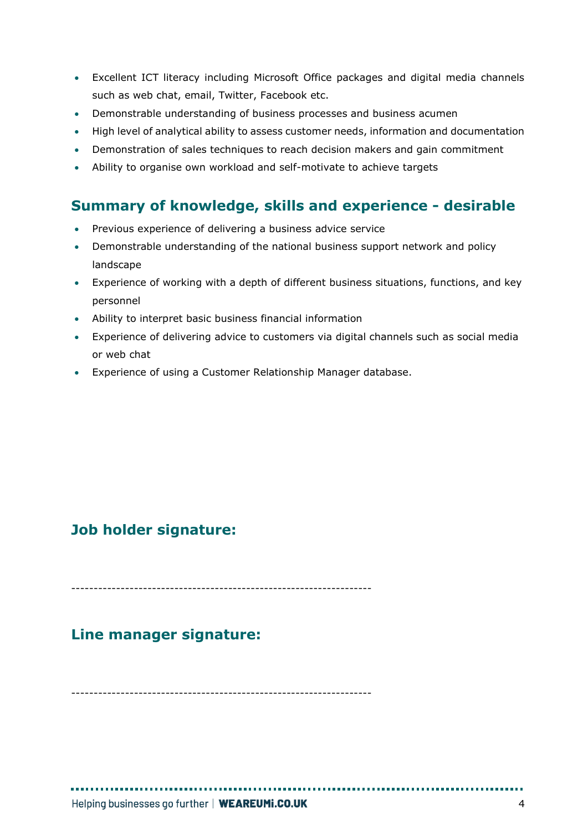- Excellent ICT literacy including Microsoft Office packages and digital media channels such as web chat, email, Twitter, Facebook etc.
- Demonstrable understanding of business processes and business acumen
- High level of analytical ability to assess customer needs, information and documentation
- Demonstration of sales techniques to reach decision makers and gain commitment
- Ability to organise own workload and self-motivate to achieve targets

#### **Summary of knowledge, skills and experience - desirable**

- Previous experience of delivering a business advice service
- Demonstrable understanding of the national business support network and policy landscape
- Experience of working with a depth of different business situations, functions, and key personnel
- Ability to interpret basic business financial information
- Experience of delivering advice to customers via digital channels such as social media or web chat
- Experience of using a Customer Relationship Manager database.

#### **Job holder signature:**

-------------------------------------------------------------------

#### **Line manager signature:**

-------------------------------------------------------------------